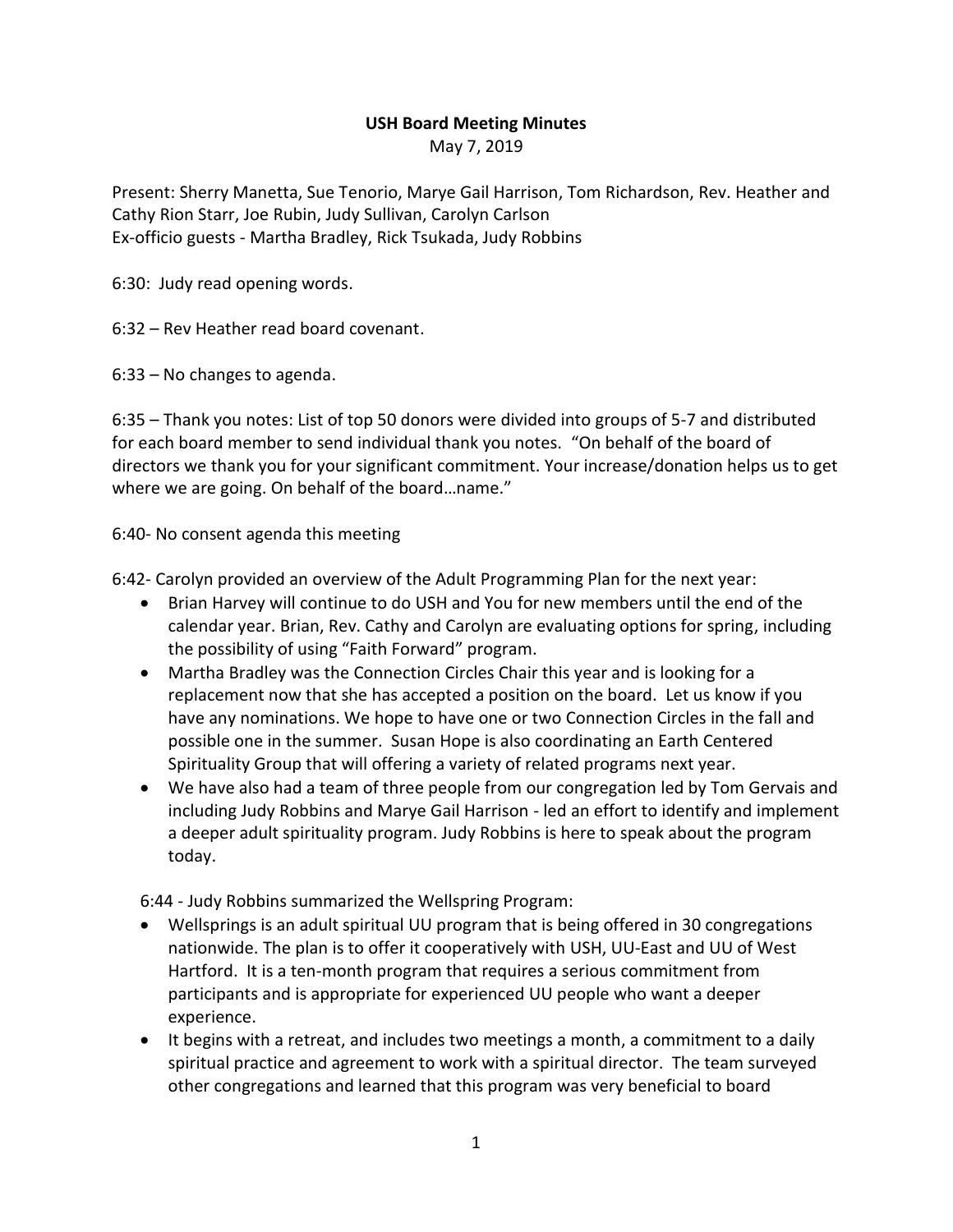## **USH Board Meeting Minutes**

May 7, 2019

Present: Sherry Manetta, Sue Tenorio, Marye Gail Harrison, Tom Richardson, Rev. Heather and Cathy Rion Starr, Joe Rubin, Judy Sullivan, Carolyn Carlson Ex-officio guests - Martha Bradley, Rick Tsukada, Judy Robbins

6:30: Judy read opening words.

6:32 – Rev Heather read board covenant.

6:33 – No changes to agenda.

6:35 – Thank you notes: List of top 50 donors were divided into groups of 5-7 and distributed for each board member to send individual thank you notes. "On behalf of the board of directors we thank you for your significant commitment. Your increase/donation helps us to get where we are going. On behalf of the board...name."

6:40- No consent agenda this meeting

6:42- Carolyn provided an overview of the Adult Programming Plan for the next year:

- Brian Harvey will continue to do USH and You for new members until the end of the calendar year. Brian, Rev. Cathy and Carolyn are evaluating options for spring, including the possibility of using "Faith Forward" program.
- Martha Bradley was the Connection Circles Chair this year and is looking for a replacement now that she has accepted a position on the board. Let us know if you have any nominations. We hope to have one or two Connection Circles in the fall and possible one in the summer. Susan Hope is also coordinating an Earth Centered Spirituality Group that will offering a variety of related programs next year.
- We have also had a team of three people from our congregation led by Tom Gervais and including Judy Robbins and Marye Gail Harrison - led an effort to identify and implement a deeper adult spirituality program. Judy Robbins is here to speak about the program today.

6:44 - Judy Robbins summarized the Wellspring Program:

- Wellsprings is an adult spiritual UU program that is being offered in 30 congregations nationwide. The plan is to offer it cooperatively with USH, UU-East and UU of West Hartford. It is a ten-month program that requires a serious commitment from participants and is appropriate for experienced UU people who want a deeper experience.
- It begins with a retreat, and includes two meetings a month, a commitment to a daily spiritual practice and agreement to work with a spiritual director. The team surveyed other congregations and learned that this program was very beneficial to board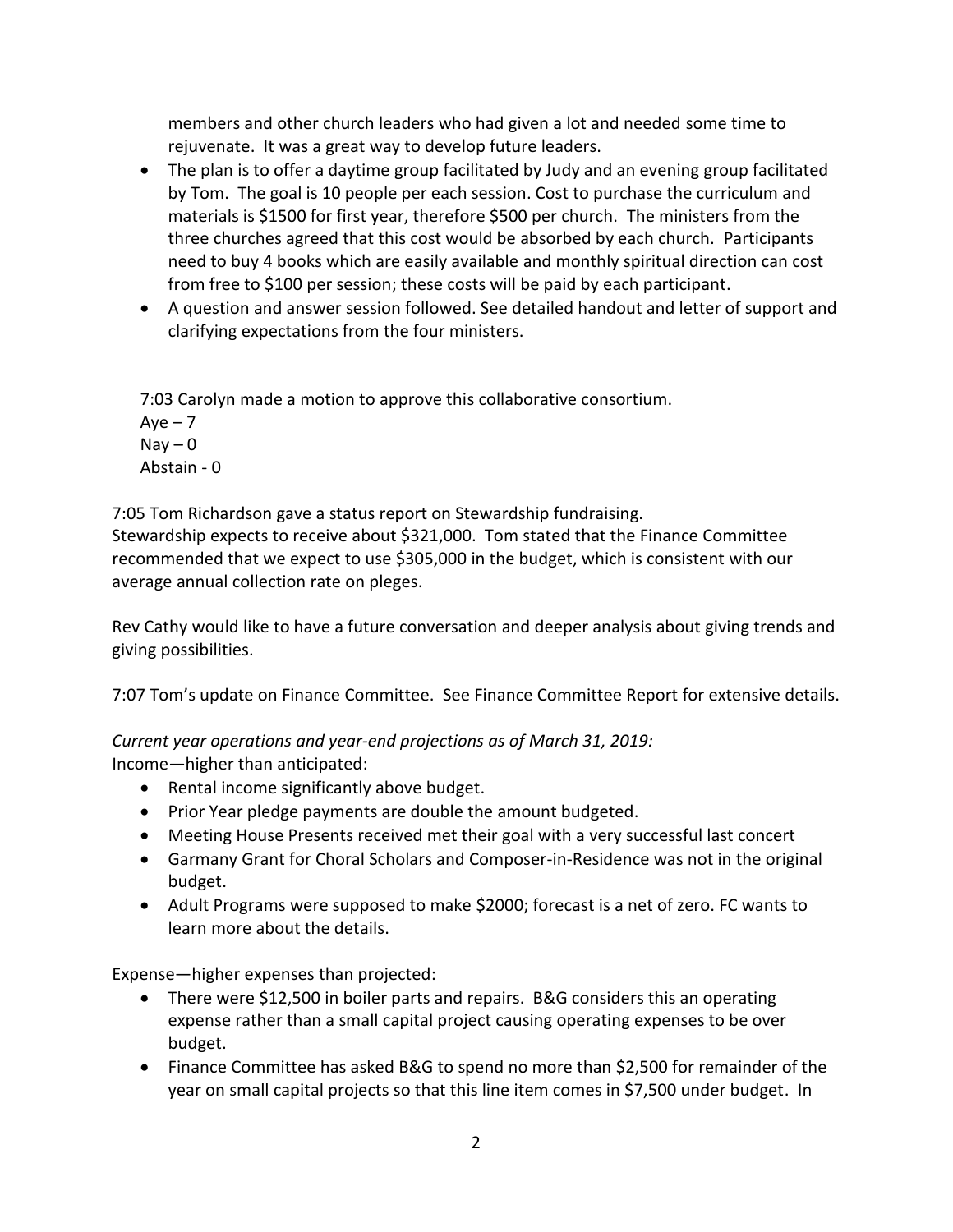members and other church leaders who had given a lot and needed some time to rejuvenate. It was a great way to develop future leaders.

- The plan is to offer a daytime group facilitated by Judy and an evening group facilitated by Tom. The goal is 10 people per each session. Cost to purchase the curriculum and materials is \$1500 for first year, therefore \$500 per church. The ministers from the three churches agreed that this cost would be absorbed by each church. Participants need to buy 4 books which are easily available and monthly spiritual direction can cost from free to \$100 per session; these costs will be paid by each participant.
- A question and answer session followed. See detailed handout and letter of support and clarifying expectations from the four ministers.

7:03 Carolyn made a motion to approve this collaborative consortium.

 $Aye - 7$  $\text{Nay} - 0$ Abstain - 0

7:05 Tom Richardson gave a status report on Stewardship fundraising.

Stewardship expects to receive about \$321,000. Tom stated that the Finance Committee recommended that we expect to use \$305,000 in the budget, which is consistent with our average annual collection rate on pleges.

Rev Cathy would like to have a future conversation and deeper analysis about giving trends and giving possibilities.

7:07 Tom's update on Finance Committee. See Finance Committee Report for extensive details.

*Current year operations and year-end projections as of March 31, 2019:*

Income—higher than anticipated:

- Rental income significantly above budget.
- Prior Year pledge payments are double the amount budgeted.
- Meeting House Presents received met their goal with a very successful last concert
- Garmany Grant for Choral Scholars and Composer-in-Residence was not in the original budget.
- Adult Programs were supposed to make \$2000; forecast is a net of zero. FC wants to learn more about the details.

Expense—higher expenses than projected:

- There were \$12,500 in boiler parts and repairs. B&G considers this an operating expense rather than a small capital project causing operating expenses to be over budget.
- Finance Committee has asked B&G to spend no more than \$2,500 for remainder of the year on small capital projects so that this line item comes in \$7,500 under budget. In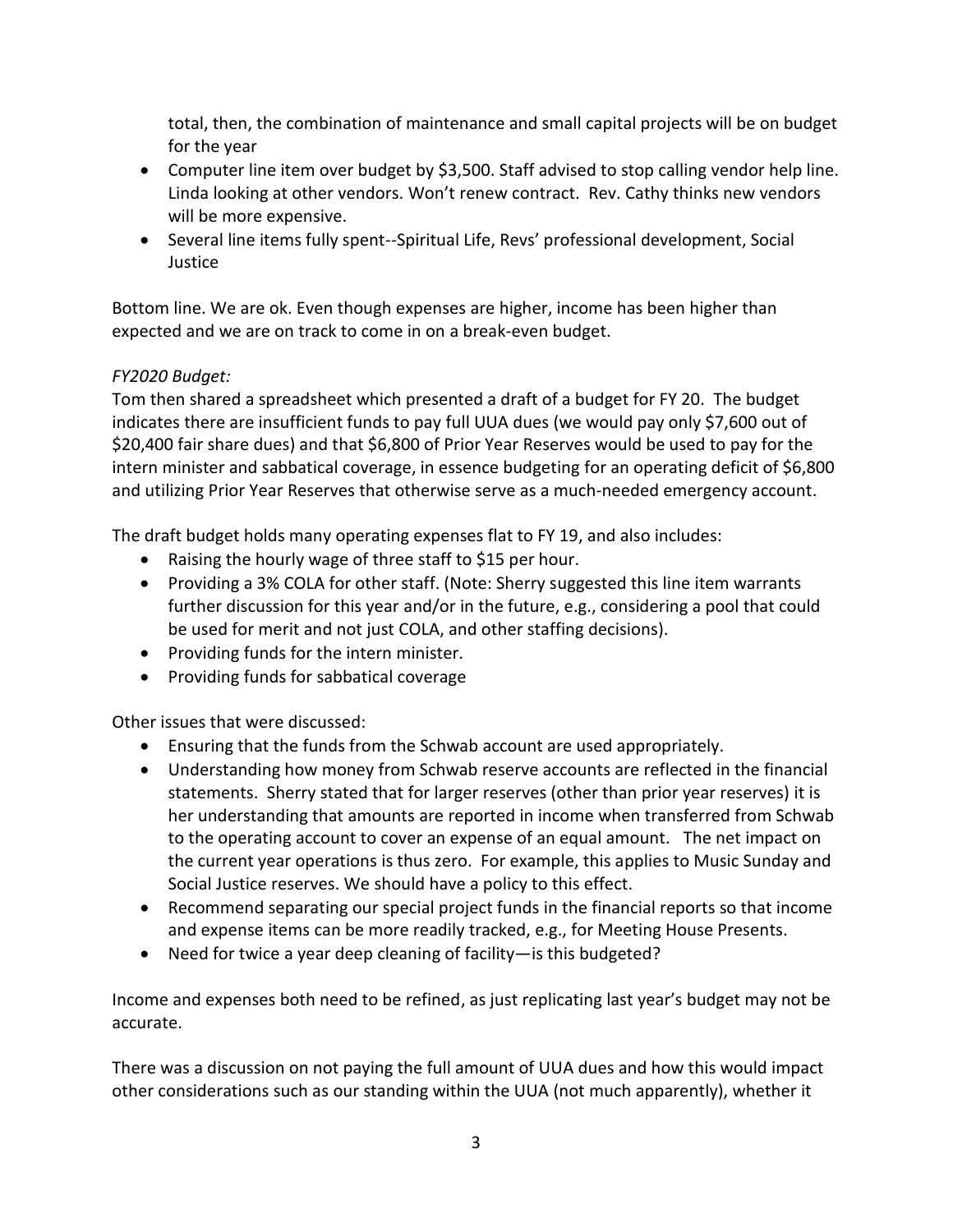total, then, the combination of maintenance and small capital projects will be on budget for the year

- Computer line item over budget by \$3,500. Staff advised to stop calling vendor help line. Linda looking at other vendors. Won't renew contract. Rev. Cathy thinks new vendors will be more expensive.
- Several line items fully spent--Spiritual Life, Revs' professional development, Social Justice

Bottom line. We are ok. Even though expenses are higher, income has been higher than expected and we are on track to come in on a break-even budget.

## *FY2020 Budget:*

Tom then shared a spreadsheet which presented a draft of a budget for FY 20. The budget indicates there are insufficient funds to pay full UUA dues (we would pay only \$7,600 out of \$20,400 fair share dues) and that \$6,800 of Prior Year Reserves would be used to pay for the intern minister and sabbatical coverage, in essence budgeting for an operating deficit of \$6,800 and utilizing Prior Year Reserves that otherwise serve as a much-needed emergency account.

The draft budget holds many operating expenses flat to FY 19, and also includes:

- Raising the hourly wage of three staff to \$15 per hour.
- Providing a 3% COLA for other staff. (Note: Sherry suggested this line item warrants further discussion for this year and/or in the future, e.g., considering a pool that could be used for merit and not just COLA, and other staffing decisions).
- Providing funds for the intern minister.
- Providing funds for sabbatical coverage

Other issues that were discussed:

- Ensuring that the funds from the Schwab account are used appropriately.
- Understanding how money from Schwab reserve accounts are reflected in the financial statements. Sherry stated that for larger reserves (other than prior year reserves) it is her understanding that amounts are reported in income when transferred from Schwab to the operating account to cover an expense of an equal amount. The net impact on the current year operations is thus zero. For example, this applies to Music Sunday and Social Justice reserves. We should have a policy to this effect.
- Recommend separating our special project funds in the financial reports so that income and expense items can be more readily tracked, e.g., for Meeting House Presents.
- Need for twice a year deep cleaning of facility—is this budgeted?

Income and expenses both need to be refined, as just replicating last year's budget may not be accurate.

There was a discussion on not paying the full amount of UUA dues and how this would impact other considerations such as our standing within the UUA (not much apparently), whether it